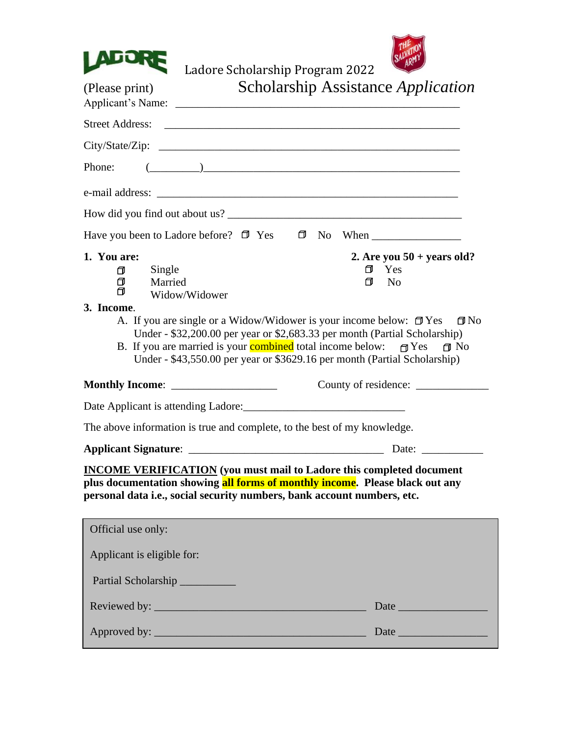



Ladore Scholarship Program 2022

| (Please print)                                                                      | Scholarship Assistance Application                                                                                                                                                                                                                                                                                                                                  |
|-------------------------------------------------------------------------------------|---------------------------------------------------------------------------------------------------------------------------------------------------------------------------------------------------------------------------------------------------------------------------------------------------------------------------------------------------------------------|
|                                                                                     |                                                                                                                                                                                                                                                                                                                                                                     |
|                                                                                     |                                                                                                                                                                                                                                                                                                                                                                     |
| Phone:                                                                              | $\begin{picture}(20,10) \put(0,0){\vector(1,0){100}} \put(15,0){\vector(1,0){100}} \put(15,0){\vector(1,0){100}} \put(15,0){\vector(1,0){100}} \put(15,0){\vector(1,0){100}} \put(15,0){\vector(1,0){100}} \put(15,0){\vector(1,0){100}} \put(15,0){\vector(1,0){100}} \put(15,0){\vector(1,0){100}} \put(15,0){\vector(1,0){100}} \put(15,0){\vector(1,0){100}} \$ |
|                                                                                     |                                                                                                                                                                                                                                                                                                                                                                     |
|                                                                                     |                                                                                                                                                                                                                                                                                                                                                                     |
| Have you been to Ladore before? $\Box$ Yes                                          |                                                                                                                                                                                                                                                                                                                                                                     |
| 1. You are:<br>Single<br>♂<br>$\Box$<br>Married<br>门<br>Widow/Widower<br>3. Income. | 2. Are you $50 + \text{years}$ old?<br>Yes<br>⋂<br>₫<br>N <sub>0</sub><br>A. If you are single or a Widow/Widower is your income below: $\Box$ Yes<br>$\Box$ No                                                                                                                                                                                                     |
| Monthly Income: ______________________                                              | Under - \$32,200.00 per year or \$2,683.33 per month (Partial Scholarship)<br>B. If you are married is your <b>combined</b> total income below: $\Box$ Yes<br>$\Box$ No<br>Under - \$43,550.00 per year or \$3629.16 per month (Partial Scholarship)                                                                                                                |
|                                                                                     |                                                                                                                                                                                                                                                                                                                                                                     |
|                                                                                     | The above information is true and complete, to the best of my knowledge.                                                                                                                                                                                                                                                                                            |
|                                                                                     | Date:                                                                                                                                                                                                                                                                                                                                                               |
|                                                                                     | <b>INCOME VERIFICATION</b> (you must mail to Ladore this completed document<br>plus documentation showing <mark>all forms of monthly income</mark> . Please black out any<br>personal data i.e., social security numbers, bank account numbers, etc.                                                                                                                |
| Official use only:                                                                  |                                                                                                                                                                                                                                                                                                                                                                     |
| Applicant is eligible for:                                                          |                                                                                                                                                                                                                                                                                                                                                                     |
| Partial Scholarship                                                                 |                                                                                                                                                                                                                                                                                                                                                                     |
|                                                                                     |                                                                                                                                                                                                                                                                                                                                                                     |
|                                                                                     |                                                                                                                                                                                                                                                                                                                                                                     |